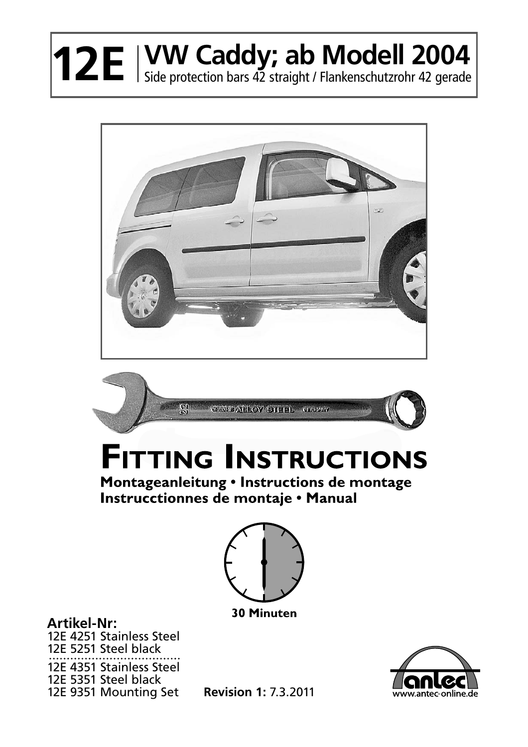## **12E** | VW Caddy; ab Modell 2004





## **FITTING INSTRUCTIONS**

Montageanleitung . Instructions de montage Instrucctionnes de montaje • Manual



**30 Minuten** 

**Artikel-Nr:** 12E 4251 Stainless Steel 12E 5251 Steel black 12E 4351 Stainless Steel 12E 5351 Steel black 12E 9351 Mounting Set



**Revision 1:** 7.3.2011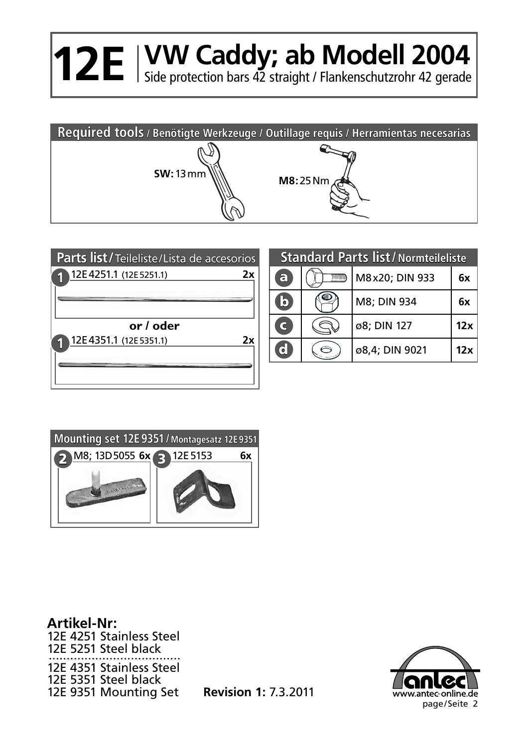## **12E** | VW Caddy; ab Modell 2004





## **Standard Parts list/Normteileliste**

| a                              | M8x20; DIN 933 | 6x  |
|--------------------------------|----------------|-----|
| $\overline{\mathbf{c}}$        | M8; DIN 934    | 6x  |
| $\mathbf C$                    | ø8; DIN 127    | 12x |
| $\overline{\textbf{c}}$ $\mid$ | ø8,4; DIN 9021 | 12x |



**Revision 1:** 7.3.2011 12E 9351 Mounting Set**Artikel-Nr:** 12E 4251 Stainless Steel 12E 5251 Steel black 12E 4351 Stainless Steel 12E 5351 Steel black